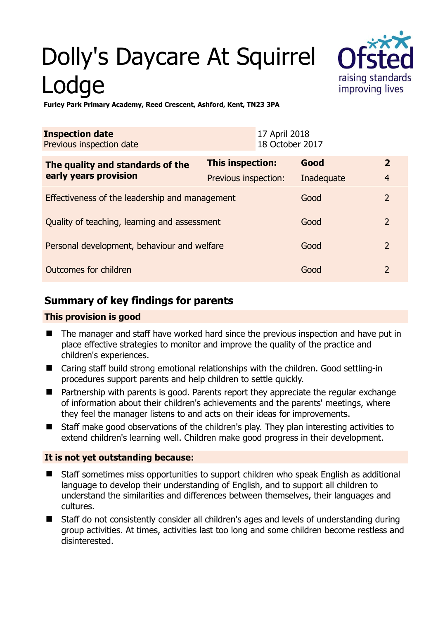# Dolly's Daycare At Squirrel Lodge



**Furley Park Primary Academy, Reed Crescent, Ashford, Kent, TN23 3PA** 

| <b>Inspection date</b><br>Previous inspection date        | 17 April 2018<br>18 October 2017 |            |                |
|-----------------------------------------------------------|----------------------------------|------------|----------------|
| The quality and standards of the<br>early years provision | This inspection:                 | Good       | $\overline{2}$ |
|                                                           | Previous inspection:             | Inadequate | $\overline{4}$ |
| Effectiveness of the leadership and management            |                                  | Good       | $\overline{2}$ |
| Quality of teaching, learning and assessment              |                                  | Good       | $\overline{2}$ |
| Personal development, behaviour and welfare               |                                  | Good       | $\overline{2}$ |
| Outcomes for children                                     |                                  | Good       | $\overline{2}$ |

## **Summary of key findings for parents**

#### **This provision is good**

- The manager and staff have worked hard since the previous inspection and have put in place effective strategies to monitor and improve the quality of the practice and children's experiences.
- Caring staff build strong emotional relationships with the children. Good settling-in procedures support parents and help children to settle quickly.
- Partnership with parents is good. Parents report they appreciate the regular exchange of information about their children's achievements and the parents' meetings, where they feel the manager listens to and acts on their ideas for improvements.
- Staff make good observations of the children's play. They plan interesting activities to extend children's learning well. Children make good progress in their development.

#### **It is not yet outstanding because:**

- Staff sometimes miss opportunities to support children who speak English as additional language to develop their understanding of English, and to support all children to understand the similarities and differences between themselves, their languages and cultures.
- Staff do not consistently consider all children's ages and levels of understanding during group activities. At times, activities last too long and some children become restless and disinterested.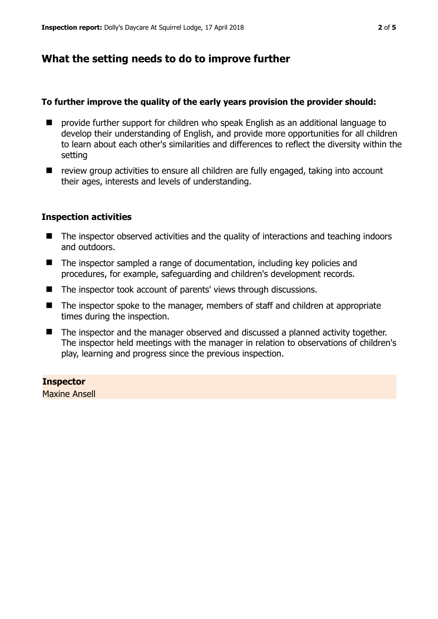### **What the setting needs to do to improve further**

#### **To further improve the quality of the early years provision the provider should:**

- provide further support for children who speak English as an additional language to develop their understanding of English, and provide more opportunities for all children to learn about each other's similarities and differences to reflect the diversity within the setting
- review group activities to ensure all children are fully engaged, taking into account their ages, interests and levels of understanding.

#### **Inspection activities**

- The inspector observed activities and the quality of interactions and teaching indoors and outdoors.
- The inspector sampled a range of documentation, including key policies and procedures, for example, safeguarding and children's development records.
- The inspector took account of parents' views through discussions.
- The inspector spoke to the manager, members of staff and children at appropriate times during the inspection.
- The inspector and the manager observed and discussed a planned activity together. The inspector held meetings with the manager in relation to observations of children's play, learning and progress since the previous inspection.

#### **Inspector**

Maxine Ansell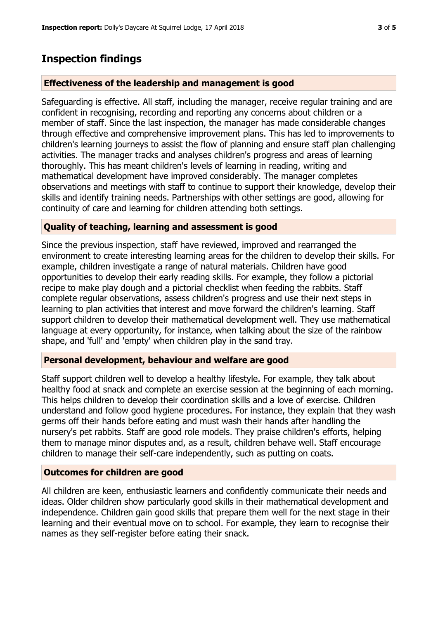## **Inspection findings**

#### **Effectiveness of the leadership and management is good**

Safeguarding is effective. All staff, including the manager, receive regular training and are confident in recognising, recording and reporting any concerns about children or a member of staff. Since the last inspection, the manager has made considerable changes through effective and comprehensive improvement plans. This has led to improvements to children's learning journeys to assist the flow of planning and ensure staff plan challenging activities. The manager tracks and analyses children's progress and areas of learning thoroughly. This has meant children's levels of learning in reading, writing and mathematical development have improved considerably. The manager completes observations and meetings with staff to continue to support their knowledge, develop their skills and identify training needs. Partnerships with other settings are good, allowing for continuity of care and learning for children attending both settings.

#### **Quality of teaching, learning and assessment is good**

Since the previous inspection, staff have reviewed, improved and rearranged the environment to create interesting learning areas for the children to develop their skills. For example, children investigate a range of natural materials. Children have good opportunities to develop their early reading skills. For example, they follow a pictorial recipe to make play dough and a pictorial checklist when feeding the rabbits. Staff complete regular observations, assess children's progress and use their next steps in learning to plan activities that interest and move forward the children's learning. Staff support children to develop their mathematical development well. They use mathematical language at every opportunity, for instance, when talking about the size of the rainbow shape, and 'full' and 'empty' when children play in the sand tray.

#### **Personal development, behaviour and welfare are good**

Staff support children well to develop a healthy lifestyle. For example, they talk about healthy food at snack and complete an exercise session at the beginning of each morning. This helps children to develop their coordination skills and a love of exercise. Children understand and follow good hygiene procedures. For instance, they explain that they wash germs off their hands before eating and must wash their hands after handling the nursery's pet rabbits. Staff are good role models. They praise children's efforts, helping them to manage minor disputes and, as a result, children behave well. Staff encourage children to manage their self-care independently, such as putting on coats.

#### **Outcomes for children are good**

All children are keen, enthusiastic learners and confidently communicate their needs and ideas. Older children show particularly good skills in their mathematical development and independence. Children gain good skills that prepare them well for the next stage in their learning and their eventual move on to school. For example, they learn to recognise their names as they self-register before eating their snack.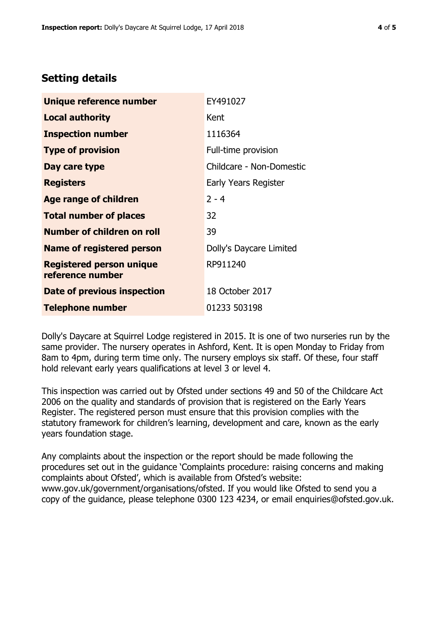## **Setting details**

| <b>Unique reference number</b>                      | EY491027                 |  |
|-----------------------------------------------------|--------------------------|--|
| <b>Local authority</b>                              | Kent                     |  |
| <b>Inspection number</b>                            | 1116364                  |  |
| <b>Type of provision</b>                            | Full-time provision      |  |
| Day care type                                       | Childcare - Non-Domestic |  |
| <b>Registers</b>                                    | Early Years Register     |  |
| <b>Age range of children</b>                        | $2 - 4$                  |  |
| <b>Total number of places</b>                       | 32                       |  |
| <b>Number of children on roll</b>                   | 39                       |  |
| <b>Name of registered person</b>                    | Dolly's Daycare Limited  |  |
| <b>Registered person unique</b><br>reference number | RP911240                 |  |
| Date of previous inspection                         | 18 October 2017          |  |
| <b>Telephone number</b>                             | 01233 503198             |  |

Dolly's Daycare at Squirrel Lodge registered in 2015. It is one of two nurseries run by the same provider. The nursery operates in Ashford, Kent. It is open Monday to Friday from 8am to 4pm, during term time only. The nursery employs six staff. Of these, four staff hold relevant early years qualifications at level 3 or level 4.

This inspection was carried out by Ofsted under sections 49 and 50 of the Childcare Act 2006 on the quality and standards of provision that is registered on the Early Years Register. The registered person must ensure that this provision complies with the statutory framework for children's learning, development and care, known as the early years foundation stage.

Any complaints about the inspection or the report should be made following the procedures set out in the guidance 'Complaints procedure: raising concerns and making complaints about Ofsted', which is available from Ofsted's website: www.gov.uk/government/organisations/ofsted. If you would like Ofsted to send you a copy of the guidance, please telephone 0300 123 4234, or email enquiries@ofsted.gov.uk.